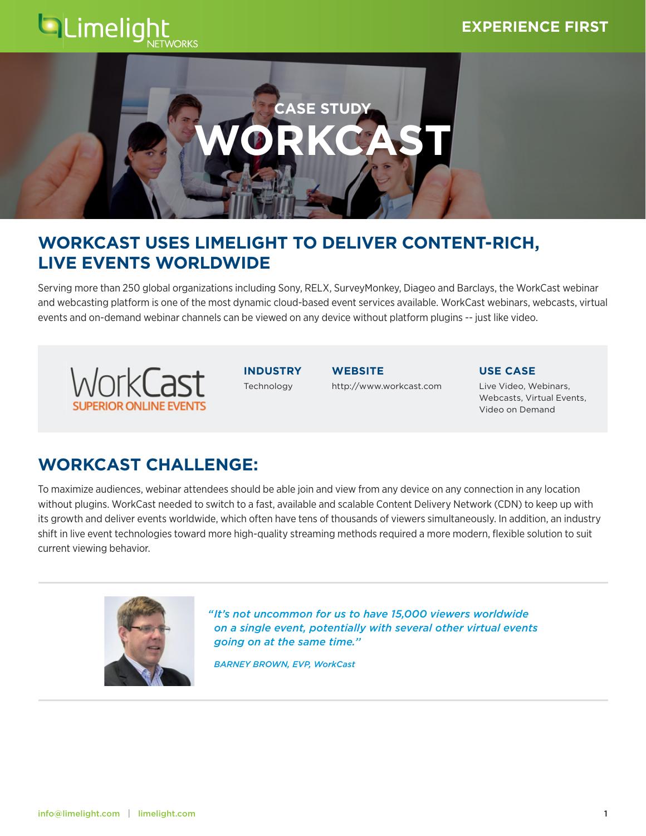## **QLimeligh NORKS**



# **WORKCAST USES LIMELIGHT TO DELIVER CONTENT-RICH, LIVE EVENTS WORLDWIDE**

Serving more than 250 global organizations including Sony, RELX, SurveyMonkey, Diageo and Barclays, the WorkCast webinar and webcasting platform is one of the most dynamic cloud-based event services available. WorkCast webinars, webcasts, virtual events and on-demand webinar channels can be viewed on any device without platform plugins -- just like video.



**INDUSTRY** Technology

**WEBSITE** <http://www.workcast.com> **USE CASE**

Live Video, Webinars, Webcasts, Virtual Events, Video on Demand

# **WORKCAST CHALLENGE:**

To maximize audiences, webinar attendees should be able join and view from any device on any connection in any location without plugins. WorkCast needed to switch to a fast, available and scalable Content Delivery Network (CDN) to keep up with its growth and deliver events worldwide, which often have tens of thousands of viewers simultaneously. In addition, an industry shift in live event technologies toward more high-quality streaming methods required a more modern, flexible solution to suit current viewing behavior.



*" It's not uncommon for us to have 15,000 viewers worldwide on a single event, potentially with several other virtual events going on at the same time.''*

 *BARNEY BROWN, EVP, WorkCast*